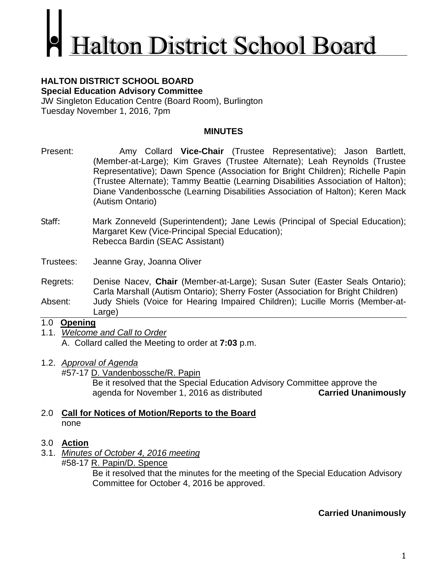# **Ialton District School Board**

#### **HALTON DISTRICT SCHOOL BOARD Special Education Advisory Committee**

JW Singleton Education Centre (Board Room), Burlington Tuesday November 1, 2016, 7pm

# **MINUTES**

- Present: Amy Collard **Vice-Chair** (Trustee Representative); Jason Bartlett, (Member-at-Large); Kim Graves (Trustee Alternate); Leah Reynolds (Trustee Representative); Dawn Spence (Association for Bright Children); Richelle Papin (Trustee Alternate); Tammy Beattie (Learning Disabilities Association of Halton); Diane Vandenbossche (Learning Disabilities Association of Halton); Keren Mack (Autism Ontario)
- Staff: Mark Zonneveld (Superintendent); Jane Lewis (Principal of Special Education); Margaret Kew (Vice-Principal Special Education); Rebecca Bardin (SEAC Assistant)

Trustees: Jeanne Gray, Joanna Oliver

Regrets: Denise Nacev, **Chair** (Member-at-Large); Susan Suter (Easter Seals Ontario); Carla Marshall (Autism Ontario); Sherry Foster (Association for Bright Children)

Absent: Judy Shiels (Voice for Hearing Impaired Children); Lucille Morris (Member-at-Large)

# 1.0 **Opening**

- 1.1. *Welcome and Call to Order* A. Collard called the Meeting to order at **7:03** p.m.
- 1.2. *Approval of Agenda*

#57-17 D. Vandenbossche/R. Papin

Be it resolved that the Special Education Advisory Committee approve the agenda for November 1, 2016 as distributed **Carried Unanimously**

## 2.0 **Call for Notices of Motion/Reports to the Board** none

# 3.0 **Action**

- 3.1. *Minutes of October 4, 2016 meeting*
	- #58-17 R. Papin/D. Spence

Be it resolved that the minutes for the meeting of the Special Education Advisory Committee for October 4, 2016 be approved.

# **Carried Unanimously**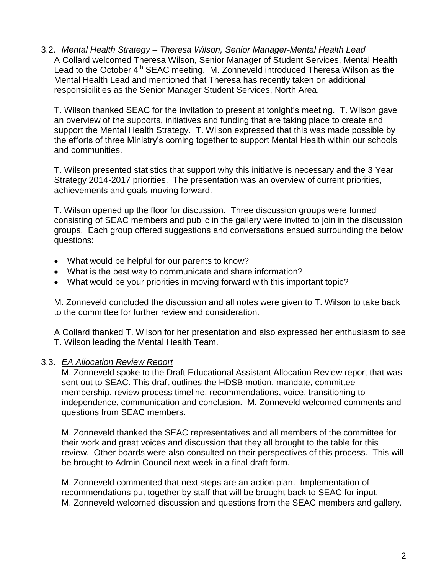3.2. *Mental Health Strategy – Theresa Wilson, Senior Manager-Mental Health Lead* A Collard welcomed Theresa Wilson, Senior Manager of Student Services, Mental Health Lead to the October 4<sup>th</sup> SEAC meeting. M. Zonneveld introduced Theresa Wilson as the Mental Health Lead and mentioned that Theresa has recently taken on additional responsibilities as the Senior Manager Student Services, North Area.

T. Wilson thanked SEAC for the invitation to present at tonight's meeting. T. Wilson gave an overview of the supports, initiatives and funding that are taking place to create and support the Mental Health Strategy. T. Wilson expressed that this was made possible by the efforts of three Ministry's coming together to support Mental Health within our schools and communities.

T. Wilson presented statistics that support why this initiative is necessary and the 3 Year Strategy 2014-2017 priorities. The presentation was an overview of current priorities, achievements and goals moving forward.

T. Wilson opened up the floor for discussion. Three discussion groups were formed consisting of SEAC members and public in the gallery were invited to join in the discussion groups. Each group offered suggestions and conversations ensued surrounding the below questions:

- What would be helpful for our parents to know?
- What is the best way to communicate and share information?
- What would be your priorities in moving forward with this important topic?

M. Zonneveld concluded the discussion and all notes were given to T. Wilson to take back to the committee for further review and consideration.

A Collard thanked T. Wilson for her presentation and also expressed her enthusiasm to see T. Wilson leading the Mental Health Team.

# 3.3. *EA Allocation Review Report*

M. Zonneveld spoke to the Draft Educational Assistant Allocation Review report that was sent out to SEAC. This draft outlines the HDSB motion, mandate, committee membership, review process timeline, recommendations, voice, transitioning to independence, communication and conclusion. M. Zonneveld welcomed comments and questions from SEAC members.

M. Zonneveld thanked the SEAC representatives and all members of the committee for their work and great voices and discussion that they all brought to the table for this review. Other boards were also consulted on their perspectives of this process. This will be brought to Admin Council next week in a final draft form.

M. Zonneveld commented that next steps are an action plan. Implementation of recommendations put together by staff that will be brought back to SEAC for input. M. Zonneveld welcomed discussion and questions from the SEAC members and gallery.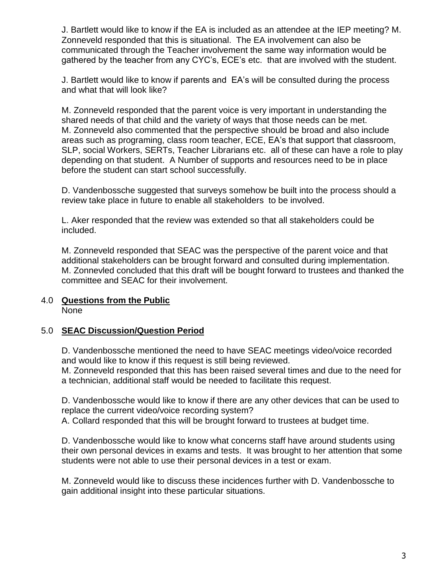J. Bartlett would like to know if the EA is included as an attendee at the IEP meeting? M. Zonneveld responded that this is situational. The EA involvement can also be communicated through the Teacher involvement the same way information would be gathered by the teacher from any CYC's, ECE's etc. that are involved with the student.

J. Bartlett would like to know if parents and EA's will be consulted during the process and what that will look like?

M. Zonneveld responded that the parent voice is very important in understanding the shared needs of that child and the variety of ways that those needs can be met. M. Zonneveld also commented that the perspective should be broad and also include areas such as programing, class room teacher, ECE, EA's that support that classroom, SLP, social Workers, SERTs, Teacher Librarians etc. all of these can have a role to play depending on that student. A Number of supports and resources need to be in place before the student can start school successfully.

D. Vandenbossche suggested that surveys somehow be built into the process should a review take place in future to enable all stakeholders to be involved.

L. Aker responded that the review was extended so that all stakeholders could be included.

M. Zonneveld responded that SEAC was the perspective of the parent voice and that additional stakeholders can be brought forward and consulted during implementation. M. Zonnevled concluded that this draft will be bought forward to trustees and thanked the committee and SEAC for their involvement.

#### 4.0 **Questions from the Public** None

# 5.0 **SEAC Discussion/Question Period**

D. Vandenbossche mentioned the need to have SEAC meetings video/voice recorded and would like to know if this request is still being reviewed.

M. Zonneveld responded that this has been raised several times and due to the need for a technician, additional staff would be needed to facilitate this request.

D. Vandenbossche would like to know if there are any other devices that can be used to replace the current video/voice recording system?

A. Collard responded that this will be brought forward to trustees at budget time.

D. Vandenbossche would like to know what concerns staff have around students using their own personal devices in exams and tests. It was brought to her attention that some students were not able to use their personal devices in a test or exam.

M. Zonneveld would like to discuss these incidences further with D. Vandenbossche to gain additional insight into these particular situations.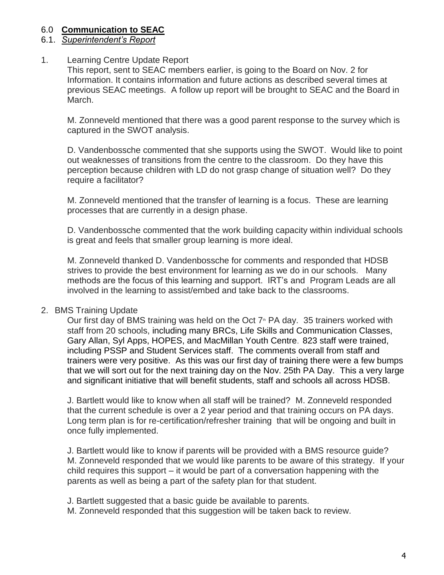#### 6.0 **Communication to SEAC**

# 6.1. *Superintendent's Report*

#### 1. Learning Centre Update Report

This report, sent to SEAC members earlier, is going to the Board on Nov. 2 for Information. It contains information and future actions as described several times at previous SEAC meetings. A follow up report will be brought to SEAC and the Board in March.

M. Zonneveld mentioned that there was a good parent response to the survey which is captured in the SWOT analysis.

D. Vandenbossche commented that she supports using the SWOT. Would like to point out weaknesses of transitions from the centre to the classroom. Do they have this perception because children with LD do not grasp change of situation well? Do they require a facilitator?

M. Zonneveld mentioned that the transfer of learning is a focus. These are learning processes that are currently in a design phase.

D. Vandenbossche commented that the work building capacity within individual schools is great and feels that smaller group learning is more ideal.

M. Zonneveld thanked D. Vandenbossche for comments and responded that HDSB strives to provide the best environment for learning as we do in our schools. Many methods are the focus of this learning and support. IRT's and Program Leads are all involved in the learning to assist/embed and take back to the classrooms.

#### 2. BMS Training Update

Our first day of BMS training was held on the Oct  $7<sup>*</sup>$  PA day. 35 trainers worked with staff from 20 schools, including many BRCs, Life Skills and Communication Classes, Gary Allan, Syl Apps, HOPES, and MacMillan Youth Centre. 823 staff were trained, including PSSP and Student Services staff. The comments overall from staff and trainers were very positive. As this was our first day of training there were a few bumps that we will sort out for the next training day on the Nov. 25th PA Day. This a very large and significant initiative that will benefit students, staff and schools all across HDSB.

J. Bartlett would like to know when all staff will be trained? M. Zonneveld responded that the current schedule is over a 2 year period and that training occurs on PA days. Long term plan is for re-certification/refresher training that will be ongoing and built in once fully implemented.

J. Bartlett would like to know if parents will be provided with a BMS resource guide? M. Zonneveld responded that we would like parents to be aware of this strategy. If your child requires this support – it would be part of a conversation happening with the parents as well as being a part of the safety plan for that student.

J. Bartlett suggested that a basic guide be available to parents.

M. Zonneveld responded that this suggestion will be taken back to review.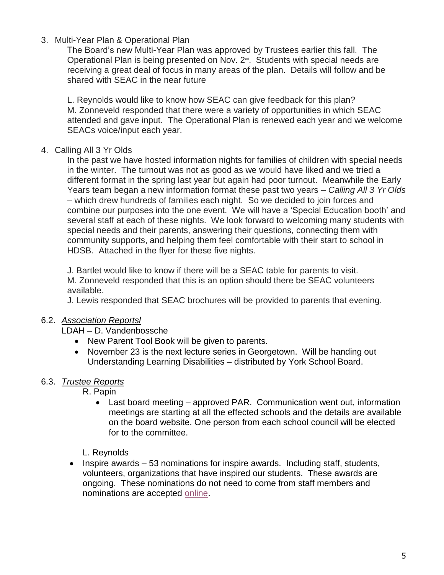# 3. Multi-Year Plan & Operational Plan

The Board's new Multi-Year Plan was approved by Trustees earlier this fall. The Operational Plan is being presented on Nov.  $2^{\omega}$ . Students with special needs are receiving a great deal of focus in many areas of the plan. Details will follow and be shared with SEAC in the near future

L. Reynolds would like to know how SEAC can give feedback for this plan? M. Zonneveld responded that there were a variety of opportunities in which SEAC attended and gave input. The Operational Plan is renewed each year and we welcome SEACs voice/input each year.

## 4. Calling All 3 Yr Olds

In the past we have hosted information nights for families of children with special needs in the winter. The turnout was not as good as we would have liked and we tried a different format in the spring last year but again had poor turnout. Meanwhile the Early Years team began a new information format these past two years – *Calling All 3 Yr Olds*  – which drew hundreds of families each night. So we decided to join forces and combine our purposes into the one event. We will have a 'Special Education booth' and several staff at each of these nights. We look forward to welcoming many students with special needs and their parents, answering their questions, connecting them with community supports, and helping them feel comfortable with their start to school in HDSB. Attached in the flyer for these five nights.

J. Bartlet would like to know if there will be a SEAC table for parents to visit. M. Zonneveld responded that this is an option should there be SEAC volunteers available.

J. Lewis responded that SEAC brochures will be provided to parents that evening.

# 6.2. *Association Reportsl*

LDAH – D. Vandenbossche

- New Parent Tool Book will be given to parents.
- November 23 is the next lecture series in Georgetown. Will be handing out Understanding Learning Disabilities – distributed by York School Board.

#### 6.3. *Trustee Reports*

R. Papin

 Last board meeting – approved PAR. Communication went out, information meetings are starting at all the effected schools and the details are available on the board website. One person from each school council will be elected for to the committee.

L. Reynolds

 $\bullet$  Inspire awards  $-53$  nominations for inspire awards. Including staff, students, volunteers, organizations that have inspired our students. These awards are ongoing. These nominations do not need to come from staff members and nominations are accepted [online.](https://www.hdsb.ca/our-board/Pages/Board%20of%20Trustees/Inspire-Awards.aspx)